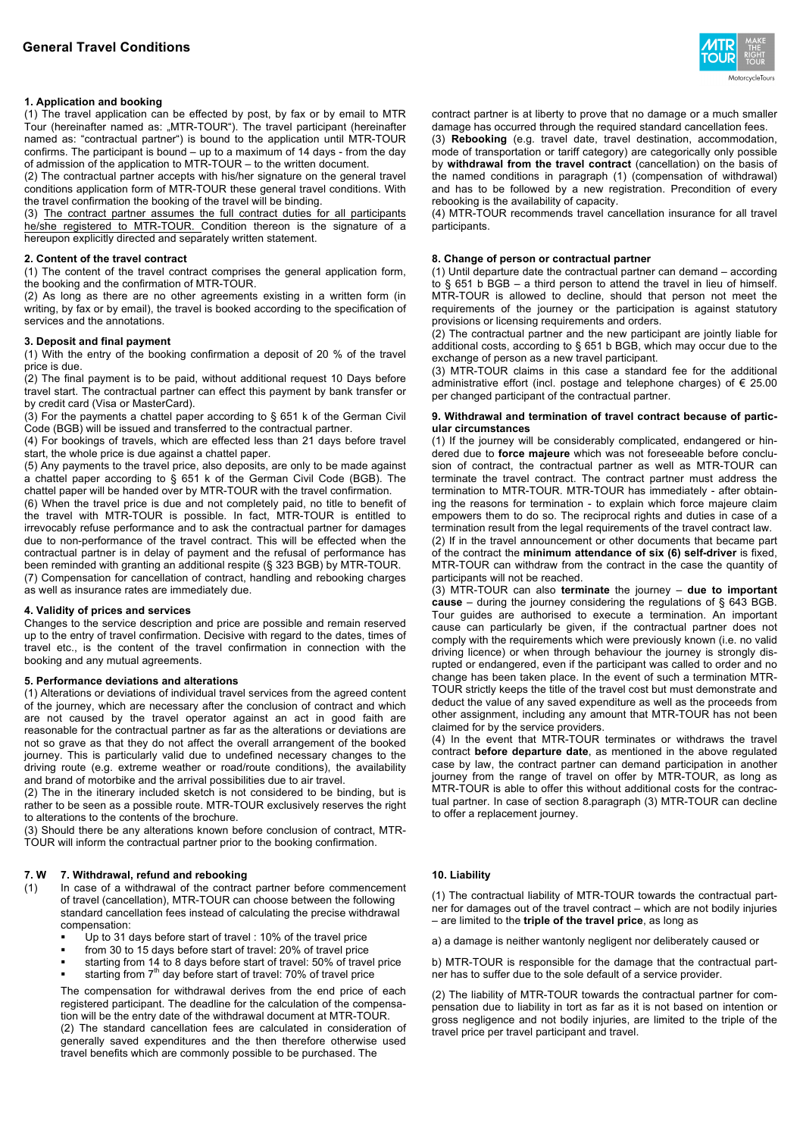## **1. Application and booking**

(1) The travel application can be effected by post, by fax or by email to MTR Tour (hereinafter named as: "MTR-TOUR"). The travel participant (hereinafter named as: "contractual partner") is bound to the application until MTR-TOUR confirms. The participant is bound – up to a maximum of 14 days - from the day of admission of the application to MTR-TOUR – to the written document.

(2) The contractual partner accepts with his/her signature on the general travel conditions application form of MTR-TOUR these general travel conditions. With the travel confirmation the booking of the travel will be binding.

(3) The contract partner assumes the full contract duties for all participants he/she registered to MTR-TOUR. Condition thereon is the signature of a hereupon explicitly directed and separately written statement.

### **2. Content of the travel contract**

(1) The content of the travel contract comprises the general application form, the booking and the confirmation of MTR-TOUR.

(2) As long as there are no other agreements existing in a written form (in writing, by fax or by email), the travel is booked according to the specification of services and the annotations.

## **3. Deposit and final payment**

(1) With the entry of the booking confirmation a deposit of 20 % of the travel price is due.

(2) The final payment is to be paid, without additional request 10 Days before travel start. The contractual partner can effect this payment by bank transfer or by credit card (Visa or MasterCard).

(3) For the payments a chattel paper according to § 651 k of the German Civil Code (BGB) will be issued and transferred to the contractual partner.

(4) For bookings of travels, which are effected less than 21 days before travel start, the whole price is due against a chattel paper.

(5) Any payments to the travel price, also deposits, are only to be made against a chattel paper according to § 651 k of the German Civil Code (BGB). The chattel paper will be handed over by MTR-TOUR with the travel confirmation.

(6) When the travel price is due and not completely paid, no title to benefit of the travel with MTR-TOUR is possible. In fact, MTR-TOUR is entitled to irrevocably refuse performance and to ask the contractual partner for damages due to non-performance of the travel contract. This will be effected when the contractual partner is in delay of payment and the refusal of performance has been reminded with granting an additional respite (§ 323 BGB) by MTR-TOUR. (7) Compensation for cancellation of contract, handling and rebooking charges as well as insurance rates are immediately due.

# **4. Validity of prices and services**

Changes to the service description and price are possible and remain reserved up to the entry of travel confirmation. Decisive with regard to the dates, times of travel etc., is the content of the travel confirmation in connection with the booking and any mutual agreements.

#### **5. Performance deviations and alterations**

(1) Alterations or deviations of individual travel services from the agreed content of the journey, which are necessary after the conclusion of contract and which are not caused by the travel operator against an act in good faith are reasonable for the contractual partner as far as the alterations or deviations are not so grave as that they do not affect the overall arrangement of the booked journey. This is particularly valid due to undefined necessary changes to the driving route (e.g. extreme weather or road/route conditions), the availability and brand of motorbike and the arrival possibilities due to air travel.

(2) The in the itinerary included sketch is not considered to be binding, but is rather to be seen as a possible route. MTR-TOUR exclusively reserves the right to alterations to the contents of the brochure.

(3) Should there be any alterations known before conclusion of contract, MTR-TOUR will inform the contractual partner prior to the booking confirmation.

## **7. W 7. Withdrawal, refund and rebooking**

- (1) In case of a withdrawal of the contract partner before commencement of travel (cancellation), MTR-TOUR can choose between the following standard cancellation fees instead of calculating the precise withdrawal compensation:
	- Up to 31 days before start of travel : 10% of the travel price
	- from 30 to 15 days before start of travel: 20% of travel price
	- starting from 14 to 8 days before start of travel: 50% of travel price starting from  $7<sup>th</sup>$  day before start of travel: 70% of travel price

The compensation for withdrawal derives from the end price of each registered participant. The deadline for the calculation of the compensation will be the entry date of the withdrawal document at MTR-TOUR. (2) The standard cancellation fees are calculated in consideration of generally saved expenditures and the then therefore otherwise used travel benefits which are commonly possible to be purchased. The

contract partner is at liberty to prove that no damage or a much smaller damage has occurred through the required standard cancellation fees.

(3) **Rebooking** (e.g. travel date, travel destination, accommodation, mode of transportation or tariff category) are categorically only possible by **withdrawal from the travel contract** (cancellation) on the basis of the named conditions in paragraph (1) (compensation of withdrawal) and has to be followed by a new registration. Precondition of every rebooking is the availability of capacity.

(4) MTR-TOUR recommends travel cancellation insurance for all travel participants.

# **8. Change of person or contractual partner**

(1) Until departure date the contractual partner can demand – according to § 651 b BGB – a third person to attend the travel in lieu of himself. MTR-TOUR is allowed to decline, should that person not meet the requirements of the journey or the participation is against statutory provisions or licensing requirements and orders.

(2) The contractual partner and the new participant are jointly liable for additional costs, according to § 651 b BGB, which may occur due to the exchange of person as a new travel participant.

(3) MTR-TOUR claims in this case a standard fee for the additional administrative effort (incl. postage and telephone charges) of  $\epsilon$  25.00 per changed participant of the contractual partner.

## **9. Withdrawal and termination of travel contract because of particular circumstances**

(1) If the journey will be considerably complicated, endangered or hindered due to **force majeure** which was not foreseeable before conclusion of contract, the contractual partner as well as MTR-TOUR can terminate the travel contract. The contract partner must address the termination to MTR-TOUR. MTR-TOUR has immediately - after obtaining the reasons for termination - to explain which force majeure claim empowers them to do so. The reciprocal rights and duties in case of a termination result from the legal requirements of the travel contract law.

(2) If in the travel announcement or other documents that became part of the contract the **minimum attendance of six (6) self-driver** is fixed, MTR-TOUR can withdraw from the contract in the case the quantity of participants will not be reached.

(3) MTR-TOUR can also **terminate** the journey – **due to important cause** – during the journey considering the regulations of § 643 BGB. Tour guides are authorised to execute a termination. An important cause can particularly be given, if the contractual partner does not comply with the requirements which were previously known (i.e. no valid driving licence) or when through behaviour the journey is strongly disrupted or endangered, even if the participant was called to order and no change has been taken place. In the event of such a termination MTR-TOUR strictly keeps the title of the travel cost but must demonstrate and deduct the value of any saved expenditure as well as the proceeds from other assignment, including any amount that MTR-TOUR has not been claimed for by the service providers.

(4) In the event that MTR-TOUR terminates or withdraws the travel contract **before departure date**, as mentioned in the above regulated case by law, the contract partner can demand participation in another journey from the range of travel on offer by MTR-TOUR, as long as MTR-TOUR is able to offer this without additional costs for the contractual partner. In case of section 8.paragraph (3) MTR-TOUR can decline to offer a replacement journey.

## **10. Liability**

(1) The contractual liability of MTR-TOUR towards the contractual partner for damages out of the travel contract – which are not bodily injuries – are limited to the **triple of the travel price**, as long as

a) a damage is neither wantonly negligent nor deliberately caused or

b) MTR-TOUR is responsible for the damage that the contractual partner has to suffer due to the sole default of a service provider.

(2) The liability of MTR-TOUR towards the contractual partner for compensation due to liability in tort as far as it is not based on intention or gross negligence and not bodily injuries, are limited to the triple of the travel price per travel participant and travel.